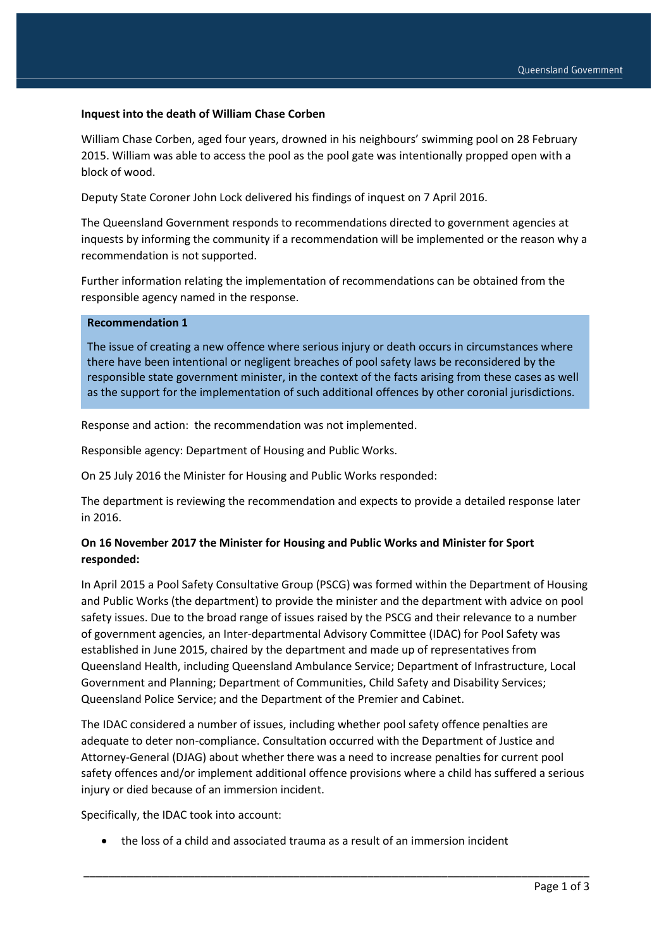## **Inquest into the death of William Chase Corben**

William Chase Corben, aged four years, drowned in his neighbours' swimming pool on 28 February 2015. William was able to access the pool as the pool gate was intentionally propped open with a block of wood.

Deputy State Coroner John Lock delivered his findings of inquest on 7 April 2016.

The Queensland Government responds to recommendations directed to government agencies at inquests by informing the community if a recommendation will be implemented or the reason why a recommendation is not supported.

Further information relating the implementation of recommendations can be obtained from the responsible agency named in the response.

## **Recommendation 1**

The issue of creating a new offence where serious injury or death occurs in circumstances where there have been intentional or negligent breaches of pool safety laws be reconsidered by the responsible state government minister, in the context of the facts arising from these cases as well as the support for the implementation of such additional offences by other coronial jurisdictions.

Response and action: the recommendation was not implemented.

Responsible agency: Department of Housing and Public Works.

On 25 July 2016 the Minister for Housing and Public Works responded:

The department is reviewing the recommendation and expects to provide a detailed response later in 2016.

## **On 16 November 2017 the Minister for Housing and Public Works and Minister for Sport responded:**

In April 2015 a Pool Safety Consultative Group (PSCG) was formed within the Department of Housing and Public Works (the department) to provide the minister and the department with advice on pool safety issues. Due to the broad range of issues raised by the PSCG and their relevance to a number of government agencies, an Inter-departmental Advisory Committee (IDAC) for Pool Safety was established in June 2015, chaired by the department and made up of representatives from Queensland Health, including Queensland Ambulance Service; Department of Infrastructure, Local Government and Planning; Department of Communities, Child Safety and Disability Services; Queensland Police Service; and the Department of the Premier and Cabinet.

The IDAC considered a number of issues, including whether pool safety offence penalties are adequate to deter non-compliance. Consultation occurred with the Department of Justice and Attorney-General (DJAG) about whether there was a need to increase penalties for current pool safety offences and/or implement additional offence provisions where a child has suffered a serious injury or died because of an immersion incident.

\_\_\_\_\_\_\_\_\_\_\_\_\_\_\_\_\_\_\_\_\_\_\_\_\_\_\_\_\_\_\_\_\_\_\_\_\_\_\_\_\_\_\_\_\_\_\_\_\_\_\_\_\_\_\_\_\_\_\_\_\_\_\_\_\_\_\_\_\_\_\_\_\_\_\_\_\_\_\_\_\_\_

Specifically, the IDAC took into account:

the loss of a child and associated trauma as a result of an immersion incident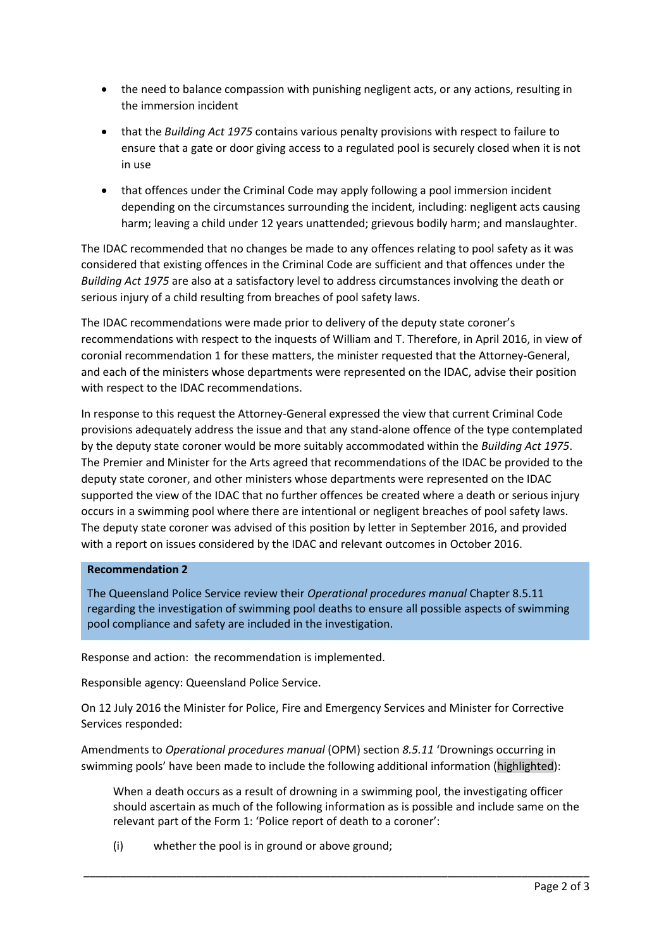- the need to balance compassion with punishing negligent acts, or any actions, resulting in the immersion incident
- that the *Building Act 1975* contains various penalty provisions with respect to failure to ensure that a gate or door giving access to a regulated pool is securely closed when it is not in use
- that offences under the Criminal Code may apply following a pool immersion incident depending on the circumstances surrounding the incident, including: negligent acts causing harm; leaving a child under 12 years unattended; grievous bodily harm; and manslaughter.

The IDAC recommended that no changes be made to any offences relating to pool safety as it was considered that existing offences in the Criminal Code are sufficient and that offences under the *Building Act 1975* are also at a satisfactory level to address circumstances involving the death or serious injury of a child resulting from breaches of pool safety laws.

The IDAC recommendations were made prior to delivery of the deputy state coroner's recommendations with respect to the inquests of William and T. Therefore, in April 2016, in view of coronial recommendation 1 for these matters, the minister requested that the Attorney-General, and each of the ministers whose departments were represented on the IDAC, advise their position with respect to the IDAC recommendations.

In response to this request the Attorney-General expressed the view that current Criminal Code provisions adequately address the issue and that any stand-alone offence of the type contemplated by the deputy state coroner would be more suitably accommodated within the *Building Act 1975*. The Premier and Minister for the Arts agreed that recommendations of the IDAC be provided to the deputy state coroner, and other ministers whose departments were represented on the IDAC supported the view of the IDAC that no further offences be created where a death or serious injury occurs in a swimming pool where there are intentional or negligent breaches of pool safety laws. The deputy state coroner was advised of this position by letter in September 2016, and provided with a report on issues considered by the IDAC and relevant outcomes in October 2016.

## **Recommendation 2**

The Queensland Police Service review their *Operational procedures manual* Chapter 8.5.11 regarding the investigation of swimming pool deaths to ensure all possible aspects of swimming pool compliance and safety are included in the investigation.

Response and action: the recommendation is implemented.

Responsible agency: Queensland Police Service.

On 12 July 2016 the Minister for Police, Fire and Emergency Services and Minister for Corrective Services responded:

Amendments to *Operational procedures manual* (OPM) section *8.5.11* 'Drownings occurring in swimming pools' have been made to include the following additional information (highlighted):

When a death occurs as a result of drowning in a swimming pool, the investigating officer should ascertain as much of the following information as is possible and include same on the relevant part of the Form 1: 'Police report of death to a coroner':

\_\_\_\_\_\_\_\_\_\_\_\_\_\_\_\_\_\_\_\_\_\_\_\_\_\_\_\_\_\_\_\_\_\_\_\_\_\_\_\_\_\_\_\_\_\_\_\_\_\_\_\_\_\_\_\_\_\_\_\_\_\_\_\_\_\_\_\_\_\_\_\_\_\_\_\_\_\_\_\_\_\_

(i) whether the pool is in ground or above ground;